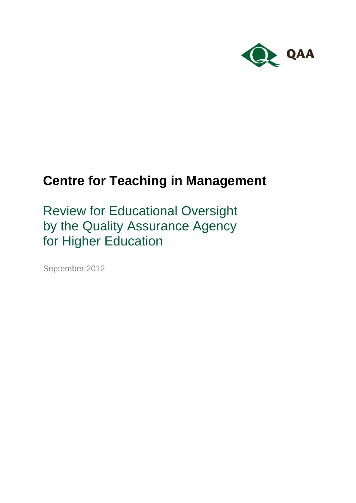

# **Centre for Teaching in Management**

Review for Educational Oversight by the Quality Assurance Agency for Higher Education

September 2012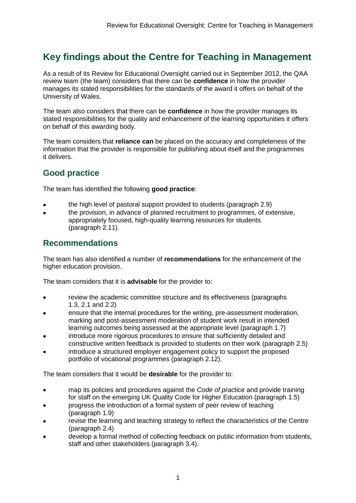## **Key findings about the Centre for Teaching in Management**

As a result of its Review for Educational Oversight carried out in September 2012, the QAA review team (the team) considers that there can be **confidence** in how the provider manages its stated responsibilities for the standards of the award it offers on behalf of the University of Wales.

The team also considers that there can be **confidence** in how the provider manages its stated responsibilities for the quality and enhancement of the learning opportunities it offers on behalf of this awarding body.

The team considers that **reliance can** be placed on the accuracy and completeness of the information that the provider is responsible for publishing about itself and the programmes it delivers.

### **Good practice**

The team has identified the following **good practice**:

- the high level of pastoral support provided to students (paragraph 2.9)
- the provision, in advance of planned recruitment to programmes, of extensive, appropriately focused, high-quality learning resources for students (paragraph 2.11).

### **Recommendations**

The team has also identified a number of **recommendations** for the enhancement of the higher education provision.

The team considers that it is **advisable** for the provider to:

- review the academic committee structure and its effectiveness (paragraphs 1.3, 2.1 and 2.2)
- ensure that the internal procedures for the writing, pre-assessment moderation, marking and post-assessment moderation of student work result in intended learning outcomes being assessed at the appropriate level (paragraph 1.7)
- introduce more rigorous procedures to ensure that sufficiently detailed and constructive written feedback is provided to students on their work (paragraph 2.5)
- introduce a structured employer engagement policy to support the proposed portfolio of vocational programmes (paragraph 2.12).

The team considers that it would be **desirable** for the provider to:

- map its policies and procedures against the *Code of prac*tice and provide training  $\bullet$ for staff on the emerging UK Quality Code for Higher Education (paragraph 1.5)
- progress the introduction of a formal system of peer review of teaching (paragraph 1.9)
- revise the learning and teaching strategy to reflect the characteristics of the Centre (paragraph 2.4)
- develop a formal method of collecting feedback on public information from students, staff and other stakeholders (paragraph 3.4).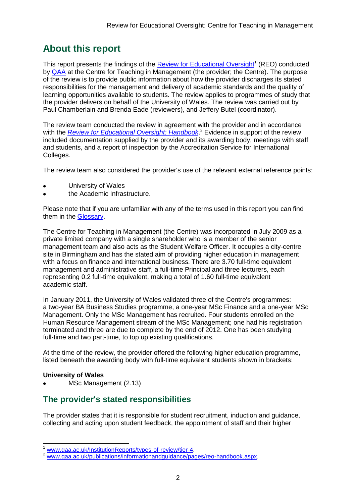# **About this report**

This report presents the findings of the **Review for Educational Oversight**<sup>1</sup> (REO) conducted by [QAA](#page-15-0) at the Centre for Teaching in Management (the provider; the Centre). The purpose of the review is to provide public information about how the provider discharges its stated responsibilities for the management and delivery of academic standards and the quality of learning opportunities available to students. The review applies to programmes of study that the provider delivers on behalf of the University of Wales. The review was carried out by Paul Chamberlain and Brenda Eade (reviewers), and Jeffery Butel (coordinator).

The review team conducted the review in agreement with the provider and in accordance with the *[Review for Educational Oversight:](http://www.qaa.ac.uk/Publications/InformationAndGuidance/Pages/REO-handbook.aspx) Handbook*. <sup>2</sup> Evidence in support of the review included documentation supplied by the provider and its awarding body, meetings with staff and students, and a report of inspection by the Accreditation Service for International Colleges.

The review team also considered the provider's use of the relevant external reference points:

- University of Wales
- the Academic Infrastructure.

Please note that if you are unfamiliar with any of the terms used in this report you can find them in the [Glossary.](#page-15-1)

The Centre for Teaching in Management (the Centre) was incorporated in July 2009 as a private limited company with a single shareholder who is a member of the senior management team and also acts as the Student Welfare Officer. It occupies a city-centre site in Birmingham and has the stated aim of providing higher education in management with a focus on finance and international business. There are 3.70 full-time equivalent management and administrative staff, a full-time Principal and three lecturers, each representing 0.2 full-time equivalent, making a total of 1.60 full-time equivalent academic staff.

In January 2011, the University of Wales validated three of the Centre's programmes: a two-year BA Business Studies programme, a one-year MSc Finance and a one-year MSc Management. Only the MSc Management has recruited. Four students enrolled on the Human Resource Management stream of the MSc Management; one had his registration terminated and three are due to complete by the end of 2012. One has been studying full-time and two part-time, to top up existing qualifications.

At the time of the review, the provider offered the following higher education programme, listed beneath the awarding body with full-time equivalent students shown in brackets:

#### **University of Wales**

-

MSc Management (2.13)

### **The provider's stated responsibilities**

The provider states that it is responsible for student recruitment, induction and guidance, collecting and acting upon student feedback, the appointment of staff and their higher

www.gaa.ac.uk/InstitutionReports/types-of-review/tier-4.

www.gaa.ac.uk/publications/informationandguidance/pages/reo-handbook.aspx.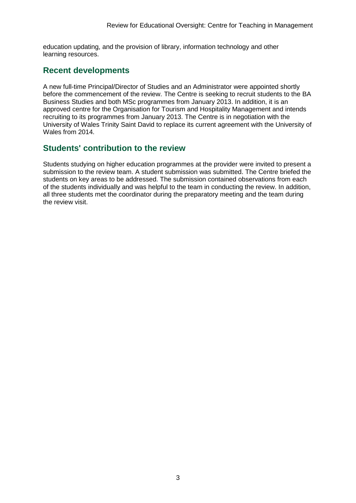education updating, and the provision of library, information technology and other learning resources.

### **Recent developments**

A new full-time Principal/Director of Studies and an Administrator were appointed shortly before the commencement of the review. The Centre is seeking to recruit students to the BA Business Studies and both MSc programmes from January 2013. In addition, it is an approved centre for the Organisation for Tourism and Hospitality Management and intends recruiting to its programmes from January 2013. The Centre is in negotiation with the University of Wales Trinity Saint David to replace its current agreement with the University of Wales from 2014.

### **Students' contribution to the review**

Students studying on higher education programmes at the provider were invited to present a submission to the review team. A student submission was submitted. The Centre briefed the students on key areas to be addressed. The submission contained observations from each of the students individually and was helpful to the team in conducting the review. In addition, all three students met the coordinator during the preparatory meeting and the team during the review visit.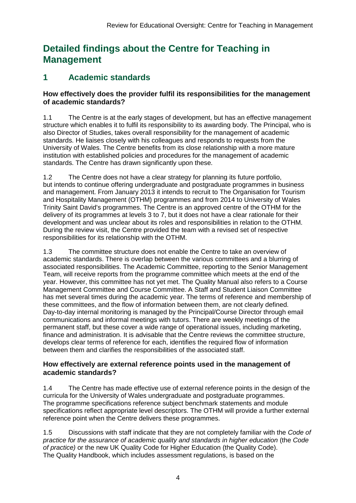# **Detailed findings about the Centre for Teaching in Management**

### **1 Academic standards**

#### **How effectively does the provider fulfil its responsibilities for the management of academic standards?**

1.1 The Centre is at the early stages of development, but has an effective management structure which enables it to fulfil its responsibility to its awarding body. The Principal, who is also Director of Studies, takes overall responsibility for the management of academic standards. He liaises closely with his colleagues and responds to requests from the University of Wales. The Centre benefits from its close relationship with a more mature institution with established policies and procedures for the management of academic standards. The Centre has drawn significantly upon these.

1.2 The Centre does not have a clear strategy for planning its future portfolio, but intends to continue offering undergraduate and postgraduate programmes in business and management. From January 2013 it intends to recruit to The Organisation for Tourism and Hospitality Management (OTHM) programmes and from 2014 to University of Wales Trinity Saint David's programmes. The Centre is an approved centre of the OTHM for the delivery of its programmes at levels 3 to 7, but it does not have a clear rationale for their development and was unclear about its roles and responsibilities in relation to the OTHM. During the review visit, the Centre provided the team with a revised set of respective responsibilities for its relationship with the OTHM.

1.3 The committee structure does not enable the Centre to take an overview of academic standards. There is overlap between the various committees and a blurring of associated responsibilities. The Academic Committee, reporting to the Senior Management Team, will receive reports from the programme committee which meets at the end of the year. However, this committee has not yet met. The Quality Manual also refers to a Course Management Committee and Course Committee. A Staff and Student Liaison Committee has met several times during the academic year. The terms of reference and membership of these committees, and the flow of information between them, are not clearly defined. Day-to-day internal monitoring is managed by the Principal/Course Director through email communications and informal meetings with tutors. There are weekly meetings of the permanent staff, but these cover a wide range of operational issues, including marketing, finance and administration. It is advisable that the Centre reviews the committee structure, develops clear terms of reference for each, identifies the required flow of information between them and clarifies the responsibilities of the associated staff.

#### **How effectively are external reference points used in the management of academic standards?**

1.4 The Centre has made effective use of external reference points in the design of the curricula for the University of Wales undergraduate and postgraduate programmes. The programme specifications reference subject benchmark statements and module specifications reflect appropriate level descriptors. The OTHM will provide a further external reference point when the Centre delivers these programmes.

1.5 Discussions with staff indicate that they are not completely familiar with the *Code of practice for the assurance of academic quality and standards in higher education* (the *Code of practice)* or the new UK Quality Code for Higher Education (the Quality Code). The Quality Handbook, which includes assessment regulations, is based on the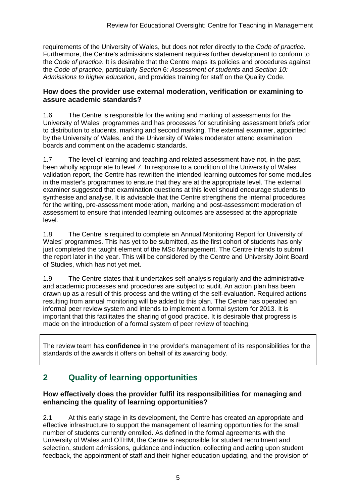requirements of the University of Wales, but does not refer directly to the *Code of practice*. Furthermore, the Centre's admissions statement requires further development to conform to the *Code of practice*. It is desirable that the Centre maps its policies and procedures against the *Code of practice*, particularly *Section* 6*: Assessment of students* and *Section 10: Admissions to higher education*, and provides training for staff on the Quality Code.

#### **How does the provider use external moderation, verification or examining to assure academic standards?**

1.6 The Centre is responsible for the writing and marking of assessments for the University of Wales' programmes and has processes for scrutinising assessment briefs prior to distribution to students, marking and second marking. The external examiner, appointed by the University of Wales, and the University of Wales moderator attend examination boards and comment on the academic standards.

1.7 The level of learning and teaching and related assessment have not, in the past, been wholly appropriate to level 7. In response to a condition of the University of Wales validation report, the Centre has rewritten the intended learning outcomes for some modules in the master's programmes to ensure that they are at the appropriate level. The external examiner suggested that examination questions at this level should encourage students to synthesise and analyse. It is advisable that the Centre strengthens the internal procedures for the writing, pre-assessment moderation, marking and post-assessment moderation of assessment to ensure that intended learning outcomes are assessed at the appropriate level.

1.8 The Centre is required to complete an Annual Monitoring Report for University of Wales' programmes. This has yet to be submitted, as the first cohort of students has only just completed the taught element of the MSc Management. The Centre intends to submit the report later in the year. This will be considered by the Centre and University Joint Board of Studies, which has not yet met.

1.9 The Centre states that it undertakes self-analysis regularly and the administrative and academic processes and procedures are subject to audit. An action plan has been drawn up as a result of this process and the writing of the self-evaluation. Required actions resulting from annual monitoring will be added to this plan. The Centre has operated an informal peer review system and intends to implement a formal system for 2013. It is important that this facilitates the sharing of good practice. It is desirable that progress is made on the introduction of a formal system of peer review of teaching.

The review team has **confidence** in the provider's management of its responsibilities for the standards of the awards it offers on behalf of its awarding body.

### **2 Quality of learning opportunities**

#### **How effectively does the provider fulfil its responsibilities for managing and enhancing the quality of learning opportunities?**

2.1 At this early stage in its development, the Centre has created an appropriate and effective infrastructure to support the management of learning opportunities for the small number of students currently enrolled. As defined in the formal agreements with the University of Wales and OTHM, the Centre is responsible for student recruitment and selection, student admissions, guidance and induction, collecting and acting upon student feedback, the appointment of staff and their higher education updating, and the provision of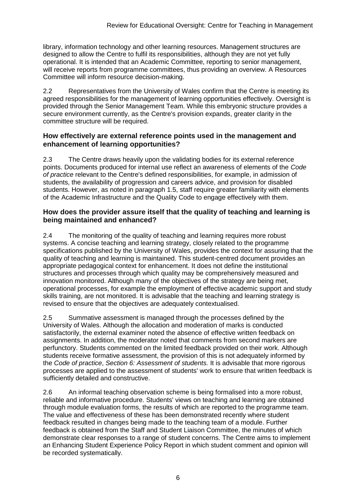library, information technology and other learning resources. Management structures are designed to allow the Centre to fulfil its responsibilities, although they are not yet fully operational. It is intended that an Academic Committee, reporting to senior management, will receive reports from programme committees, thus providing an overview. A Resources Committee will inform resource decision-making.

2.2 Representatives from the University of Wales confirm that the Centre is meeting its agreed responsibilities for the management of learning opportunities effectively. Oversight is provided through the Senior Management Team. While this embryonic structure provides a secure environment currently, as the Centre's provision expands, greater clarity in the committee structure will be required.

#### **How effectively are external reference points used in the management and enhancement of learning opportunities?**

2.3 The Centre draws heavily upon the validating bodies for its external reference points. Documents produced for internal use reflect an awareness of elements of the *Code of practice* relevant to the Centre's defined responsibilities, for example, in admission of students, the availability of progression and careers advice, and provision for disabled students. However, as noted in paragraph 1.5, staff require greater familiarity with elements of the Academic Infrastructure and the Quality Code to engage effectively with them.

#### **How does the provider assure itself that the quality of teaching and learning is being maintained and enhanced?**

2.4 The monitoring of the quality of teaching and learning requires more robust systems. A concise teaching and learning strategy, closely related to the programme specifications published by the University of Wales, provides the context for assuring that the quality of teaching and learning is maintained. This student-centred document provides an appropriate pedagogical context for enhancement. It does not define the institutional structures and processes through which quality may be comprehensively measured and innovation monitored. Although many of the objectives of the strategy are being met, operational processes, for example the employment of effective academic support and study skills training, are not monitored. It is advisable that the teaching and learning strategy is revised to ensure that the objectives are adequately contextualised.

2.5 Summative assessment is managed through the processes defined by the University of Wales. Although the allocation and moderation of marks is conducted satisfactorily, the external examiner noted the absence of effective written feedback on assignments. In addition, the moderator noted that comments from second markers are perfunctory. Students commented on the limited feedback provided on their work. Although students receive formative assessment, the provision of this is not adequately informed by the *Code of practice*, *Section 6: Assessment of students.* It is advisable that more rigorous processes are applied to the assessment of students' work to ensure that written feedback is sufficiently detailed and constructive.

2.6 An informal teaching observation scheme is being formalised into a more robust, reliable and informative procedure. Students' views on teaching and learning are obtained through module evaluation forms, the results of which are reported to the programme team. The value and effectiveness of these has been demonstrated recently where student feedback resulted in changes being made to the teaching team of a module. Further feedback is obtained from the Staff and Student Liaison Committee, the minutes of which demonstrate clear responses to a range of student concerns. The Centre aims to implement an Enhancing Student Experience Policy Report in which student comment and opinion will be recorded systematically.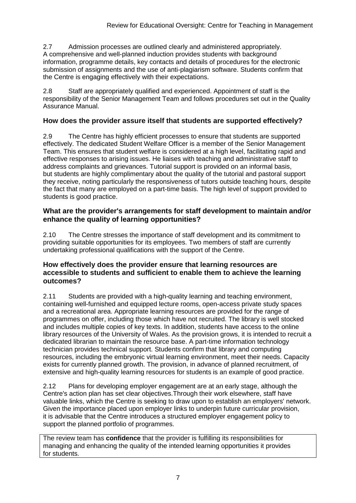2.7 Admission processes are outlined clearly and administered appropriately. A comprehensive and well-planned induction provides students with background information, programme details, key contacts and details of procedures for the electronic submission of assignments and the use of anti-plagiarism software. Students confirm that the Centre is engaging effectively with their expectations.

2.8 Staff are appropriately qualified and experienced. Appointment of staff is the responsibility of the Senior Management Team and follows procedures set out in the Quality Assurance Manual.

#### **How does the provider assure itself that students are supported effectively?**

2.9 The Centre has highly efficient processes to ensure that students are supported effectively. The dedicated Student Welfare Officer is a member of the Senior Management Team. This ensures that student welfare is considered at a high level, facilitating rapid and effective responses to arising issues. He liaises with teaching and administrative staff to address complaints and grievances. Tutorial support is provided on an informal basis, but students are highly complimentary about the quality of the tutorial and pastoral support they receive, noting particularly the responsiveness of tutors outside teaching hours, despite the fact that many are employed on a part-time basis. The high level of support provided to students is good practice.

#### **What are the provider's arrangements for staff development to maintain and/or enhance the quality of learning opportunities?**

2.10 The Centre stresses the importance of staff development and its commitment to providing suitable opportunities for its employees. Two members of staff are currently undertaking professional qualifications with the support of the Centre.

#### **How effectively does the provider ensure that learning resources are accessible to students and sufficient to enable them to achieve the learning outcomes?**

2.11 Students are provided with a high-quality learning and teaching environment, containing well-furnished and equipped lecture rooms, open-access private study spaces and a recreational area. Appropriate learning resources are provided for the range of programmes on offer, including those which have not recruited. The library is well stocked and includes multiple copies of key texts. In addition, students have access to the online library resources of the University of Wales. As the provision grows, it is intended to recruit a dedicated librarian to maintain the resource base. A part-time information technology technician provides technical support. Students confirm that library and computing resources, including the embryonic virtual learning environment, meet their needs. Capacity exists for currently planned growth. The provision, in advance of planned recruitment, of extensive and high-quality learning resources for students is an example of good practice.

2.12 Plans for developing employer engagement are at an early stage, although the Centre's action plan has set clear objectives.Through their work elsewhere, staff have valuable links, which the Centre is seeking to draw upon to establish an employers' network. Given the importance placed upon employer links to underpin future curricular provision, it is advisable that the Centre introduces a structured employer engagement policy to support the planned portfolio of programmes.

The review team has **confidence** that the provider is fulfilling its responsibilities for managing and enhancing the quality of the intended learning opportunities it provides for students.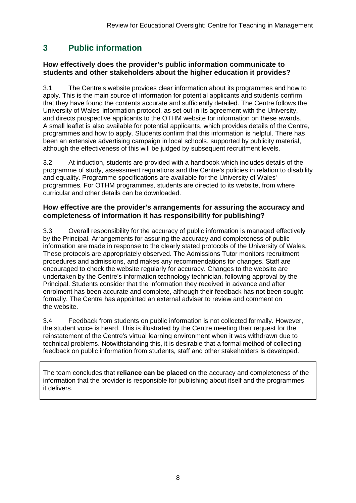### **3 Public information**

#### **How effectively does the provider's public information communicate to students and other stakeholders about the higher education it provides?**

3.1 The Centre's website provides clear information about its programmes and how to apply. This is the main source of information for potential applicants and students confirm that they have found the contents accurate and sufficiently detailed. The Centre follows the University of Wales' information protocol, as set out in its agreement with the University, and directs prospective applicants to the OTHM website for information on these awards. A small leaflet is also available for potential applicants, which provides details of the Centre, programmes and how to apply. Students confirm that this information is helpful. There has been an extensive advertising campaign in local schools, supported by publicity material, although the effectiveness of this will be judged by subsequent recruitment levels.

3.2 At induction, students are provided with a handbook which includes details of the programme of study, assessment regulations and the Centre's policies in relation to disability and equality. Programme specifications are available for the University of Wales' programmes. For OTHM programmes, students are directed to its website, from where curricular and other details can be downloaded.

#### **How effective are the provider's arrangements for assuring the accuracy and completeness of information it has responsibility for publishing?**

3.3 Overall responsibility for the accuracy of public information is managed effectively by the Principal. Arrangements for assuring the accuracy and completeness of public information are made in response to the clearly stated protocols of the University of Wales. These protocols are appropriately observed. The Admissions Tutor monitors recruitment procedures and admissions, and makes any recommendations for changes. Staff are encouraged to check the website regularly for accuracy. Changes to the website are undertaken by the Centre's information technology technician, following approval by the Principal. Students consider that the information they received in advance and after enrolment has been accurate and complete, although their feedback has not been sought formally. The Centre has appointed an external adviser to review and comment on the website.

3.4 Feedback from students on public information is not collected formally. However, the student voice is heard. This is illustrated by the Centre meeting their request for the reinstatement of the Centre's virtual learning environment when it was withdrawn due to technical problems. Notwithstanding this, it is desirable that a formal method of collecting feedback on public information from students, staff and other stakeholders is developed.

The team concludes that **reliance can be placed** on the accuracy and completeness of the information that the provider is responsible for publishing about itself and the programmes it delivers.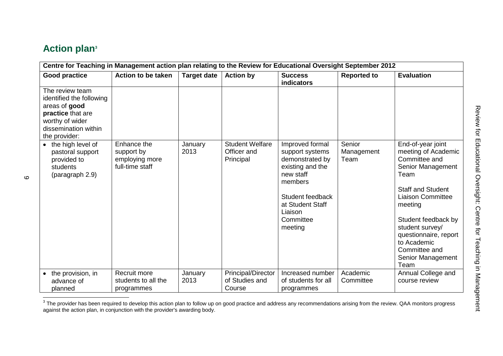# **Action plan<sup>3</sup>**

| Centre for Teaching in Management action plan relating to the Review for Educational Oversight September 2012                                 |                                                                |                    |                                                    |                                                                                                                                                                              |                              |                                                                                                                                                                                                                                                                                           |  |
|-----------------------------------------------------------------------------------------------------------------------------------------------|----------------------------------------------------------------|--------------------|----------------------------------------------------|------------------------------------------------------------------------------------------------------------------------------------------------------------------------------|------------------------------|-------------------------------------------------------------------------------------------------------------------------------------------------------------------------------------------------------------------------------------------------------------------------------------------|--|
| <b>Good practice</b>                                                                                                                          | <b>Action to be taken</b>                                      | <b>Target date</b> | <b>Action by</b>                                   | <b>Success</b><br><b>indicators</b>                                                                                                                                          | <b>Reported to</b>           | <b>Evaluation</b>                                                                                                                                                                                                                                                                         |  |
| The review team<br>identified the following<br>areas of good<br>practice that are<br>worthy of wider<br>dissemination within<br>the provider: |                                                                |                    |                                                    |                                                                                                                                                                              |                              |                                                                                                                                                                                                                                                                                           |  |
| • the high level of<br>pastoral support<br>provided to<br>students<br>(paragraph 2.9)                                                         | Enhance the<br>support by<br>employing more<br>full-time staff | January<br>2013    | <b>Student Welfare</b><br>Officer and<br>Principal | Improved formal<br>support systems<br>demonstrated by<br>existing and the<br>new staff<br>members<br>Student feedback<br>at Student Staff<br>Liaison<br>Committee<br>meeting | Senior<br>Management<br>Team | End-of-year joint<br>meeting of Academic<br>Committee and<br>Senior Management<br>Team<br><b>Staff and Student</b><br><b>Liaison Committee</b><br>meeting<br>Student feedback by<br>student survey/<br>questionnaire, report<br>to Academic<br>Committee and<br>Senior Management<br>Team |  |
| the provision, in                                                                                                                             | Recruit more                                                   | January            | Principal/Director                                 | Increased number                                                                                                                                                             | Academic                     | Annual College and                                                                                                                                                                                                                                                                        |  |
| advance of                                                                                                                                    | students to all the                                            | 2013               | of Studies and                                     | of students for all                                                                                                                                                          | Committee                    | course review                                                                                                                                                                                                                                                                             |  |
| planned                                                                                                                                       | programmes                                                     |                    | Course                                             | programmes                                                                                                                                                                   |                              |                                                                                                                                                                                                                                                                                           |  |

The provider has been required to develop this action plan to follow up on good practice and address any recommendations arising from the review. QAA monitors progress<br>The provider has been required to develop this action against the action plan, in conjunction with the provider's awarding body.

 $\circ$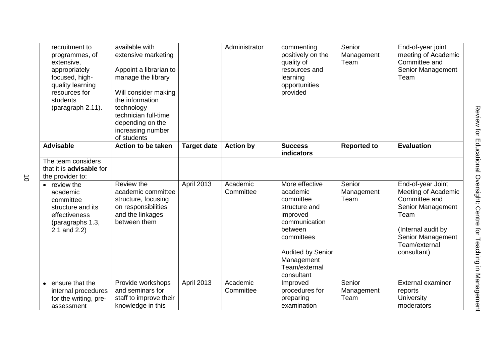| recruitment to<br>programmes, of<br>extensive,<br>appropriately<br>focused, high-<br>quality learning<br>resources for<br>students<br>(paragraph 2.11). | available with<br>extensive marketing<br>Appoint a librarian to<br>manage the library<br>Will consider making<br>the information<br>technology<br>technician full-time<br>depending on the<br>increasing number<br>of students |                    | Administrator         | commenting<br>positively on the<br>quality of<br>resources and<br>learning<br>opportunities<br>provided                                                                                 | Senior<br>Management<br>Team | End-of-year joint<br>meeting of Academic<br>Committee and<br>Senior Management<br>Team                                                                            |
|---------------------------------------------------------------------------------------------------------------------------------------------------------|--------------------------------------------------------------------------------------------------------------------------------------------------------------------------------------------------------------------------------|--------------------|-----------------------|-----------------------------------------------------------------------------------------------------------------------------------------------------------------------------------------|------------------------------|-------------------------------------------------------------------------------------------------------------------------------------------------------------------|
| <b>Advisable</b>                                                                                                                                        | Action to be taken                                                                                                                                                                                                             | <b>Target date</b> | <b>Action by</b>      | <b>Success</b><br>indicators                                                                                                                                                            | <b>Reported to</b>           | <b>Evaluation</b>                                                                                                                                                 |
| The team considers<br>that it is <b>advisable</b> for<br>the provider to:                                                                               |                                                                                                                                                                                                                                |                    |                       |                                                                                                                                                                                         |                              |                                                                                                                                                                   |
| • review the<br>academic<br>committee<br>structure and its<br>effectiveness<br>(paragraphs 1.3,<br>2.1 and 2.2)                                         | Review the<br>academic committee<br>structure, focusing<br>on responsibilities<br>and the linkages<br>between them                                                                                                             | <b>April 2013</b>  | Academic<br>Committee | More effective<br>academic<br>committee<br>structure and<br>improved<br>communication<br>between<br>committees<br><b>Audited by Senior</b><br>Management<br>Team/external<br>consultant | Senior<br>Management<br>Team | End-of-year Joint<br>Meeting of Academic<br>Committee and<br>Senior Management<br>Team<br>(Internal audit by<br>Senior Management<br>Team/external<br>consultant) |
| ensure that the<br>internal procedures<br>for the writing, pre-<br>assessment                                                                           | Provide workshops<br>and seminars for<br>staff to improve their<br>knowledge in this                                                                                                                                           | <b>April 2013</b>  | Academic<br>Committee | Improved<br>procedures for<br>preparing<br>examination                                                                                                                                  | Senior<br>Management<br>Team | External examiner<br>reports<br><b>University</b><br>moderators                                                                                                   |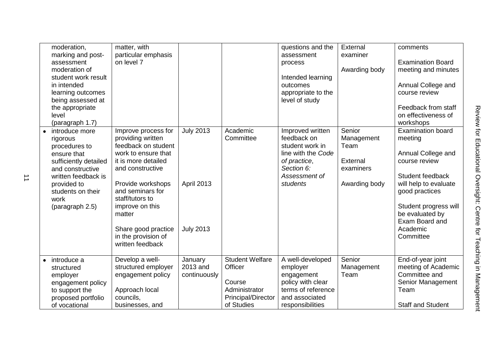| moderation,<br>marking and post-<br>assessment<br>moderation of<br>student work result<br>in intended<br>learning outcomes<br>being assessed at<br>the appropriate<br>level<br>(paragraph 1.7)<br>introduce more<br>rigorous<br>procedures to<br>ensure that<br>sufficiently detailed<br>and constructive<br>written feedback is<br>provided to<br>students on their<br>work<br>(paragraph 2.5) | matter, with<br>particular emphasis<br>on level 7<br>Improve process for<br>providing written<br>feedback on student<br>work to ensure that<br>it is more detailed<br>and constructive<br>Provide workshops<br>and seminars for<br>staff/tutors to<br>improve on this<br>matter<br>Share good practice<br>in the provision of<br>written feedback | <b>July 2013</b><br><b>April 2013</b><br><b>July 2013</b> | Academic<br>Committee                                                                                   | questions and the<br>assessment<br>process<br>Intended learning<br>outcomes<br>appropriate to the<br>level of study<br>Improved written<br>feedback on<br>student work in<br>line with the Code<br>of practice,<br>Section 6:<br>Assessment of<br>students | External<br>examiner<br>Awarding body<br>Senior<br>Management<br>Team<br>External<br>examiners<br>Awarding body | comments<br><b>Examination Board</b><br>meeting and minutes<br>Annual College and<br>course review<br>Feedback from staff<br>on effectiveness of<br>workshops<br><b>Examination board</b><br>meeting<br>Annual College and<br>course review<br>Student feedback<br>will help to evaluate<br>good practices<br>Student progress will<br>be evaluated by<br>Exam Board and<br>Academic<br>Committee |
|-------------------------------------------------------------------------------------------------------------------------------------------------------------------------------------------------------------------------------------------------------------------------------------------------------------------------------------------------------------------------------------------------|---------------------------------------------------------------------------------------------------------------------------------------------------------------------------------------------------------------------------------------------------------------------------------------------------------------------------------------------------|-----------------------------------------------------------|---------------------------------------------------------------------------------------------------------|------------------------------------------------------------------------------------------------------------------------------------------------------------------------------------------------------------------------------------------------------------|-----------------------------------------------------------------------------------------------------------------|---------------------------------------------------------------------------------------------------------------------------------------------------------------------------------------------------------------------------------------------------------------------------------------------------------------------------------------------------------------------------------------------------|
| introduce a<br>structured<br>employer<br>engagement policy<br>to support the<br>proposed portfolio<br>of vocational                                                                                                                                                                                                                                                                             | Develop a well-<br>structured employer<br>engagement policy<br>Approach local<br>councils,<br>businesses, and                                                                                                                                                                                                                                     | January<br>2013 and<br>continuously                       | <b>Student Welfare</b><br>Officer<br>Course<br>Administrator<br><b>Principal/Director</b><br>of Studies | A well-developed<br>employer<br>engagement<br>policy with clear<br>terms of reference<br>and associated<br>responsibilities                                                                                                                                | Senior<br>Management<br>Team                                                                                    | End-of-year joint<br>meeting of Academic<br>Committee and<br>Senior Management<br>Team<br><b>Staff and Student</b>                                                                                                                                                                                                                                                                                |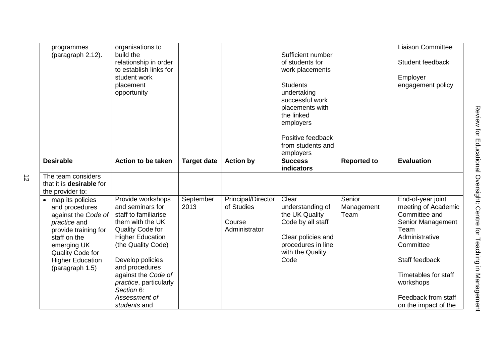| programmes                      | organisations to          |                    |                    |                    |                    | <b>Liaison Committee</b> |
|---------------------------------|---------------------------|--------------------|--------------------|--------------------|--------------------|--------------------------|
| (paragraph 2.12).               | build the                 |                    |                    | Sufficient number  |                    |                          |
|                                 | relationship in order     |                    |                    | of students for    |                    | Student feedback         |
|                                 | to establish links for    |                    |                    |                    |                    |                          |
|                                 |                           |                    |                    | work placements    |                    |                          |
|                                 | student work              |                    |                    |                    |                    | Employer                 |
|                                 | placement                 |                    |                    | <b>Students</b>    |                    | engagement policy        |
|                                 | opportunity               |                    |                    | undertaking        |                    |                          |
|                                 |                           |                    |                    | successful work    |                    |                          |
|                                 |                           |                    |                    | placements with    |                    |                          |
|                                 |                           |                    |                    | the linked         |                    |                          |
|                                 |                           |                    |                    | employers          |                    |                          |
|                                 |                           |                    |                    |                    |                    |                          |
|                                 |                           |                    |                    | Positive feedback  |                    |                          |
|                                 |                           |                    |                    | from students and  |                    |                          |
|                                 |                           |                    |                    | employers          |                    |                          |
| <b>Desirable</b>                | <b>Action to be taken</b> | <b>Target date</b> | <b>Action by</b>   | <b>Success</b>     | <b>Reported to</b> | <b>Evaluation</b>        |
|                                 |                           |                    |                    | <b>indicators</b>  |                    |                          |
| The team considers              |                           |                    |                    |                    |                    |                          |
| that it is <b>desirable</b> for |                           |                    |                    |                    |                    |                          |
| the provider to:                |                           |                    |                    |                    |                    |                          |
| • map its policies              | Provide workshops         | September          | Principal/Director | Clear              | Senior             | End-of-year joint        |
| and procedures                  | and seminars for          | 2013               | of Studies         | understanding of   | Management         | meeting of Academic      |
| against the Code of             | staff to familiarise      |                    |                    | the UK Quality     | Team               | Committee and            |
| practice and                    | them with the UK          |                    | Course             | Code by all staff  |                    | Senior Management        |
| provide training for            | Quality Code for          |                    | Administrator      |                    |                    | Team                     |
| staff on the                    | <b>Higher Education</b>   |                    |                    | Clear policies and |                    | Administrative           |
| emerging UK                     | (the Quality Code)        |                    |                    | procedures in line |                    | Committee                |
| Quality Code for                |                           |                    |                    | with the Quality   |                    |                          |
| <b>Higher Education</b>         | Develop policies          |                    |                    | Code               |                    | Staff feedback           |
| (paragraph 1.5)                 | and procedures            |                    |                    |                    |                    |                          |
|                                 | against the Code of       |                    |                    |                    |                    | Timetables for staff     |
|                                 | practice, particularly    |                    |                    |                    |                    | workshops                |
|                                 | Section 6:                |                    |                    |                    |                    |                          |
|                                 | Assessment of             |                    |                    |                    |                    | Feedback from staff      |
|                                 | students and              |                    |                    |                    |                    | on the impact of the     |
|                                 |                           |                    |                    |                    |                    |                          |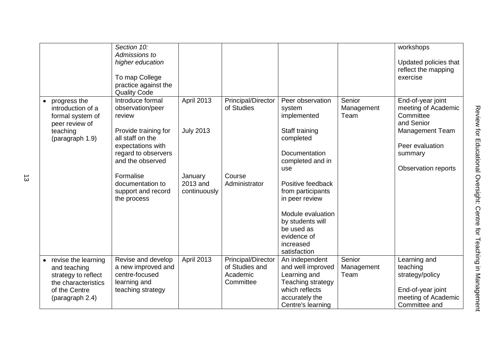|                                                                         | Section 10:                                                                 |                     |                                         |                                           |                              | workshops                                                           |
|-------------------------------------------------------------------------|-----------------------------------------------------------------------------|---------------------|-----------------------------------------|-------------------------------------------|------------------------------|---------------------------------------------------------------------|
|                                                                         | Admissions to<br>higher education<br>To map College<br>practice against the |                     |                                         |                                           |                              | Updated policies that<br>reflect the mapping<br>exercise            |
|                                                                         | <b>Quality Code</b>                                                         |                     |                                         |                                           |                              |                                                                     |
| progress the<br>introduction of a<br>formal system of<br>peer review of | Introduce formal<br>observation/peer<br>review                              | <b>April 2013</b>   | <b>Principal/Director</b><br>of Studies | Peer observation<br>system<br>implemented | Senior<br>Management<br>Team | End-of-year joint<br>meeting of Academic<br>Committee<br>and Senior |
| teaching<br>(paragraph 1.9)                                             | Provide training for<br>all staff on the                                    | <b>July 2013</b>    |                                         | Staff training<br>completed               |                              | <b>Management Team</b>                                              |
|                                                                         | expectations with<br>regard to observers<br>and the observed                |                     |                                         | Documentation<br>completed and in         |                              | Peer evaluation<br>summary                                          |
|                                                                         |                                                                             |                     |                                         | use                                       |                              | Observation reports                                                 |
|                                                                         | Formalise<br>documentation to                                               | January<br>2013 and | Course<br>Administrator                 | Positive feedback                         |                              |                                                                     |
|                                                                         | support and record                                                          | continuously        |                                         | from participants                         |                              |                                                                     |
|                                                                         | the process                                                                 |                     |                                         | in peer review                            |                              |                                                                     |
|                                                                         |                                                                             |                     |                                         | Module evaluation                         |                              |                                                                     |
|                                                                         |                                                                             |                     |                                         | by students will                          |                              |                                                                     |
|                                                                         |                                                                             |                     |                                         | be used as<br>evidence of                 |                              |                                                                     |
|                                                                         |                                                                             |                     |                                         | increased                                 |                              |                                                                     |
|                                                                         |                                                                             |                     |                                         | satisfaction                              |                              |                                                                     |
| revise the learning                                                     | Revise and develop                                                          | <b>April 2013</b>   | <b>Principal/Director</b>               | An independent                            | Senior                       | Learning and                                                        |
| and teaching                                                            | a new improved and<br>centre-focused                                        |                     | of Studies and<br>Academic              | and well improved                         | Management                   | teaching                                                            |
| strategy to reflect<br>the characteristics                              | learning and                                                                |                     | Committee                               | Learning and<br>Teaching strategy         | Team                         | strategy/policy                                                     |
| of the Centre                                                           | teaching strategy                                                           |                     |                                         | which reflects                            |                              | End-of-year joint                                                   |
| (paragraph 2.4)                                                         |                                                                             |                     |                                         | accurately the                            |                              | meeting of Academic                                                 |
|                                                                         |                                                                             |                     |                                         | Centre's learning                         |                              | Committee and                                                       |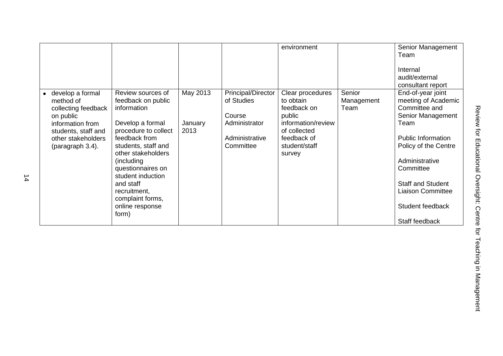|                     |                      |          |                    | environment        |            | Senior Management         |
|---------------------|----------------------|----------|--------------------|--------------------|------------|---------------------------|
|                     |                      |          |                    |                    |            | Team                      |
|                     |                      |          |                    |                    |            | Internal                  |
|                     |                      |          |                    |                    |            | audit/external            |
|                     |                      |          |                    |                    |            | consultant report         |
| develop a formal    | Review sources of    | May 2013 | Principal/Director | Clear procedures   | Senior     | End-of-year joint         |
| method of           | feedback on public   |          | of Studies         | to obtain          | Management | meeting of Academic       |
| collecting feedback | information          |          |                    | feedback on        | Team       | Committee and             |
| on public           |                      |          | Course             | public             |            | Senior Management         |
| information from    | Develop a formal     | January  | Administrator      | information/review |            | Team                      |
| students, staff and | procedure to collect | 2013     |                    | of collected       |            |                           |
| other stakeholders  | feedback from        |          | Administrative     | feedback of        |            | <b>Public Information</b> |
| (paragraph 3.4).    | students, staff and  |          | Committee          | student/staff      |            | Policy of the Centre      |
|                     | other stakeholders   |          |                    | survey             |            |                           |
|                     | (including)          |          |                    |                    |            | Administrative            |
|                     | questionnaires on    |          |                    |                    |            | Committee                 |
|                     | student induction    |          |                    |                    |            |                           |
|                     | and staff            |          |                    |                    |            | <b>Staff and Student</b>  |
|                     | recruitment,         |          |                    |                    |            | <b>Liaison Committee</b>  |
|                     | complaint forms,     |          |                    |                    |            |                           |
|                     | online response      |          |                    |                    |            | Student feedback          |
|                     | form)                |          |                    |                    |            |                           |
|                     |                      |          |                    |                    |            | Staff feedback            |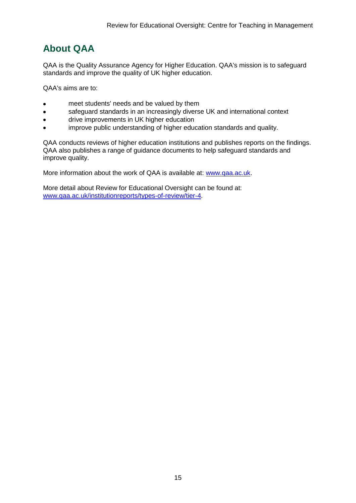# <span id="page-15-0"></span>**About QAA**

QAA is the Quality Assurance Agency for Higher Education. QAA's mission is to safeguard standards and improve the quality of UK higher education.

QAA's aims are to:

- meet students' needs and be valued by them
- safeguard standards in an increasingly diverse UK and international context  $\bullet$
- drive improvements in UK higher education  $\bullet$
- improve public understanding of higher education standards and quality.

QAA conducts reviews of higher education institutions and publishes reports on the findings. QAA also publishes a range of guidance documents to help safeguard standards and improve quality.

More information about the work of QAA is available at: [www.qaa.ac.uk.](http://www.qaa.ac.uk/)

<span id="page-15-1"></span>More detail about Review for Educational Oversight can be found at: [www.qaa.ac.uk/institutionreports/types-of-review/tier-4.](http://www.qaa.ac.uk/institutionreports/types-of-review/tier-4)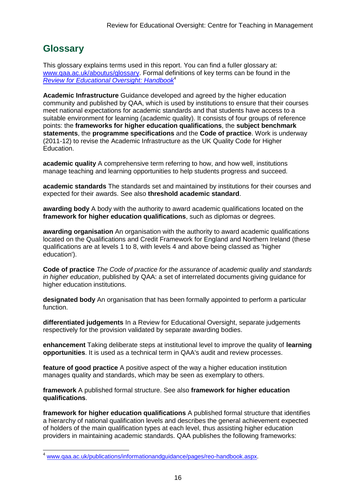# **Glossary**

This glossary explains terms used in this report. You can find a fuller glossary at: [www.qaa.ac.uk/aboutus/glossary.](http://www.qaa.ac.uk/aboutus/glossary) Formal definitions of key terms can be found in the *[Review for Educational Oversight: Handbook](http://www.qaa.ac.uk/Publications/InformationAndGuidance/Pages/REO-handbook.aspx)*<sup>4</sup>

**Academic Infrastructure** Guidance developed and agreed by the higher education community and published by QAA, which is used by institutions to ensure that their courses meet national expectations for academic standards and that students have access to a suitable environment for learning (academic quality). It consists of four groups of reference points: the **frameworks for higher education qualifications**, the **subject benchmark statements**, the **programme specifications** and the **[Code of practice](http://www.qaa.ac.uk/AboutUs/glossary/Pages/glossary-c.aspx#c2)**. Work is underway (2011-12) to revise the Academic Infrastructure as the UK [Quality Code](http://www.qaa.ac.uk/AboutUs/glossary/Pages/glossary-q.aspx#q5) for Higher Education.

**academic quality** A comprehensive term referring to how, and how well, institutions manage teaching and learning opportunities to help students progress and succeed.

**academic standards** The standards set and maintained by institutions for their courses and expected for their awards. See also **threshold academic standard**.

**awarding body** A body with the authority to award academic qualifications located on the **framework for higher education qualifications**, such as diplomas or degrees.

**awarding organisation** An organisation with the authority to award academic qualifications located on the Qualifications and Credit Framework for England and Northern Ireland (these qualifications are at levels 1 to 8, with levels 4 and above being classed as 'higher education').

**Code of practice** *The Code of practice for the assurance of academic quality and standards in higher education*, published by QAA: a set of interrelated documents giving guidance for higher education institutions.

**designated body** An organisation that has been formally appointed to perform a particular function.

**differentiated judgements** In a Review for Educational Oversight, separate judgements respectively for the provision validated by separate awarding bodies.

**enhancement** Taking deliberate steps at institutional level to improve the quality of **[learning](http://www.qaa.ac.uk/aboutus/glossary/pages/glossary-l.aspx#l1)  [opportunities](http://www.qaa.ac.uk/aboutus/glossary/pages/glossary-l.aspx#l1)**. It is used as a technical term in QAA's audit and review processes.

**feature of good practice** A positive aspect of the way a higher education institution manages quality and standards, which may be seen as exemplary to others.

**framework** A published formal structure. See also **framework for higher education qualifications**.

**framework for higher education qualifications** A published formal structure that identifies a hierarchy of national qualification levels and describes the general achievement expected of holders of the main qualification types at each level, thus assisting higher education providers in maintaining academic standards. QAA publishes the following frameworks:

[www.qaa.ac.uk/publications/informationandguidance/pages/reo-handbook.aspx.](http://www.qaa.ac.uk/publications/informationandguidance/pages/reo-handbook.aspx)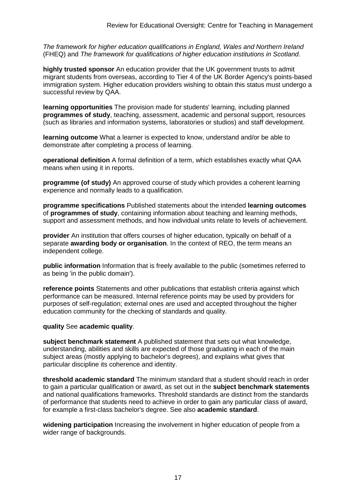*The framework for higher education qualifications in England, Wales and Northern Ireland* (FHEQ) and *The framework for qualifications of higher education institutions in Scotland*.

**highly trusted sponsor** An education provider that the UK government trusts to admit migrant students from overseas, according to Tier 4 of the UK Border Agency's points-based immigration system. Higher education providers wishing to obtain this status must undergo a successful review by QAA.

**learning opportunities** The provision made for students' learning, including planned **[programmes of study](http://newlive.qaa.ac.uk/aboutus/glossary/pages/glossary-p.aspx#p12)**, teaching, assessment, academic and personal support, resources (such as libraries and information systems, laboratories or studios) and staff development.

**learning outcome** What a learner is expected to know, understand and/or be able to demonstrate after completing a process of learning.

**operational definition** A formal definition of a term, which establishes exactly what QAA means when using it in reports.

**programme (of study)** An approved course of study which provides a coherent learning experience and normally leads to a qualification.

**programme specifications** Published statements about the intended **[learning outcomes](http://newlive.qaa.ac.uk/aboutus/glossary/pages/glossary-l.aspx#l2)** of **programmes of study**, containing information about teaching and learning methods, support and assessment methods, and how individual units relate to levels of achievement.

**provider** An institution that offers courses of higher education, typically on behalf of a separate **awarding body or organisation**. In the context of REO, the term means an independent college.

**public information** Information that is freely available to the public (sometimes referred to as being 'in the public domain').

**reference points** Statements and other publications that establish criteria against which performance can be measured. Internal reference points may be used by providers for purposes of self-regulation; external ones are used and accepted throughout the higher education community for the checking of standards and quality.

#### **quality** See **academic quality**.

**subject benchmark statement** A published statement that sets out what knowledge, understanding, abilities and skills are expected of those graduating in each of the main subject areas (mostly applying to [bachelor's degrees\)](http://newlive.qaa.ac.uk/aboutus/glossary/pages/glossary-b/aspx#b1), and explains what gives that particular discipline its coherence and identity.

**threshold academic standard** The minimum standard that a student should reach in order to gain a particular qualification or award, as set out in the **[subject benchmark statements](http://newlive.qaa.ac.uk/aboutus/glossary/pages/glossary-s.aspx#s7)** and national [qualifications frameworks.](http://newlive.qaa.ac.uk/aboutus/glossary/pages/glossary-q.aspx#q3) Threshold standards are distinct from the standards of performance that students need to achieve in order to gain any particular class of award, for example a first-class bachelor's degree. See also **[academic standard](http://newlive.qaa.ac.uk/aboutus/glossary/pages/glossary-a.aspx#a3)**.

**widening participation** Increasing the involvement in higher education of people from a wider range of backgrounds.